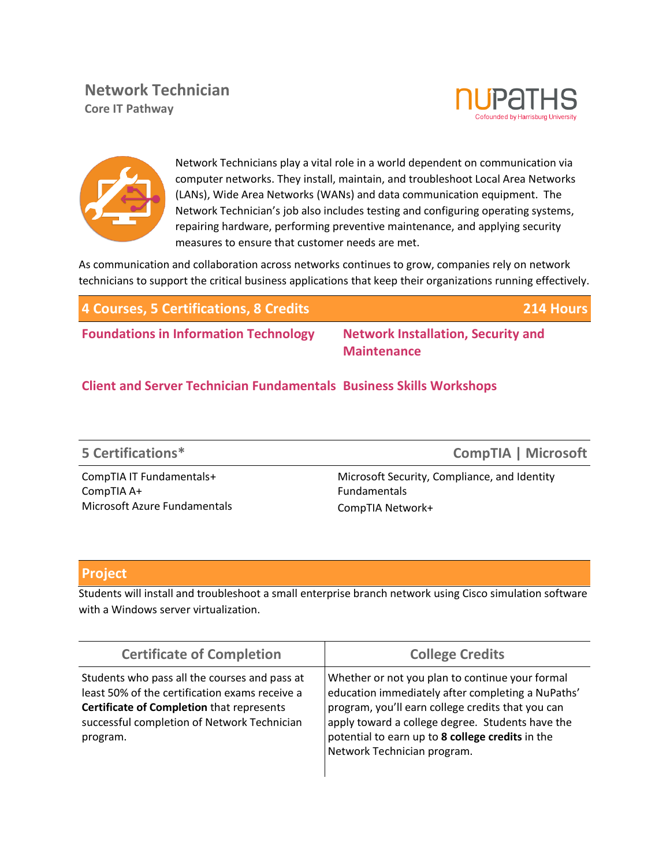# **Network Technician Core IT Pathway**





Network Technicians play a vital role in a world dependent on communication via computer networks. They install, maintain, and troubleshoot Local Area Networks (LANs), Wide Area Networks (WANs) and data communication equipment. The Network Technician's job also includes testing and configuring operating systems, repairing hardware, performing preventive maintenance, and applying security measures to ensure that customer needs are met.

As communication and collaboration across networks continues to grow, companies rely on network technicians to support the critical business applications that keep their organizations running effectively.

| 4 Courses, 5 Certifications, 8 Credits       | 214 Hours                                 |
|----------------------------------------------|-------------------------------------------|
| <b>Foundations in Information Technology</b> | <b>Network Installation, Security and</b> |
|                                              | <b>Maintenance</b>                        |

## **Client and Server Technician Fundamentals Business Skills Workshops**

| 5 Certifications* | <b>CompTIA   Microsoft</b> |
|-------------------|----------------------------|
|                   |                            |

CompTIA IT Fundamentals+ CompTIA A+ Microsoft Azure Fundamentals Microsoft Security, Compliance, and Identity Fundamentals CompTIA Network+

### **Project**

Students will install and troubleshoot a small enterprise branch network using Cisco simulation software with a Windows server virtualization.

| <b>Certificate of Completion</b>                                                                                                                                                                        | <b>College Credits</b>                                                                                                                                                                                                                                                                           |
|---------------------------------------------------------------------------------------------------------------------------------------------------------------------------------------------------------|--------------------------------------------------------------------------------------------------------------------------------------------------------------------------------------------------------------------------------------------------------------------------------------------------|
| Students who pass all the courses and pass at<br>least 50% of the certification exams receive a<br>Certificate of Completion that represents<br>successful completion of Network Technician<br>program. | Whether or not you plan to continue your formal<br>education immediately after completing a NuPaths'<br>program, you'll earn college credits that you can<br>apply toward a college degree. Students have the<br>potential to earn up to 8 college credits in the<br>Network Technician program. |